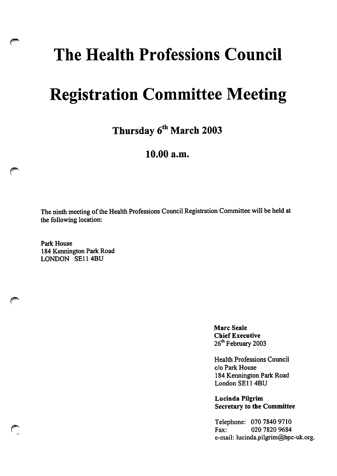## The Health Professions Council

## Registration Committee Meeting

Thursday 6<sup>th</sup> March 2003

## 10.00 a.m.

The ninth meeting of the Health Professions Council Registration Committee will be held at the following location:

Park House 184 Kennington Park Road LONDON SE114BU

> Marc Seale Chief Executive 26<sup>th</sup> February 2003

Health Professions Council c/o Park House 184 Kennington Park Road London SE114BU

Lucinda Pilgrim Secretary to tbe Committee

Telephone: 070 7840 9710 Fax: 020 7820 9684 e-mail: lucinda.pilgrim@hpc-uk.org.